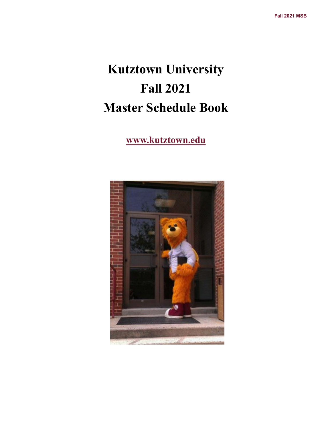# **Kutztown University Fall 2021 Master Schedule Book**

## **www.kutztown.edu**

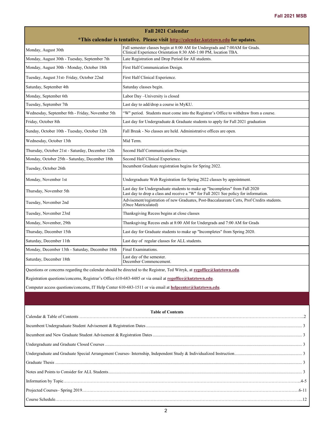| <b>Fall 2021 Calendar</b>                                                                                                |                                                                                                                                                                     |  |  |  |  |  |  |
|--------------------------------------------------------------------------------------------------------------------------|---------------------------------------------------------------------------------------------------------------------------------------------------------------------|--|--|--|--|--|--|
| *This calendar is tentative. Please visit http://calendar.kutztown.edu for updates.                                      |                                                                                                                                                                     |  |  |  |  |  |  |
| Monday, August 30th                                                                                                      | Fall semester classes begin at 8:00 AM for Undergrads and 7:00AM for Grads.<br>Clinical Experience Orientation 8:30 AM-1:00 PM, location TBA.                       |  |  |  |  |  |  |
| Monday, August 30th - Tuesday, September 7th                                                                             | Late Registration and Drop Period for All students.                                                                                                                 |  |  |  |  |  |  |
| Monday, August 30th - Monday, October 18th                                                                               | First Half Communication Design.                                                                                                                                    |  |  |  |  |  |  |
| Tuesday, August 31st-Friday, October 22nd                                                                                | First Half Clinical Experience.                                                                                                                                     |  |  |  |  |  |  |
| Saturday, September 4th                                                                                                  | Saturday classes begin.                                                                                                                                             |  |  |  |  |  |  |
| Monday, September 6th                                                                                                    | Labor Day -University is closed                                                                                                                                     |  |  |  |  |  |  |
| Tuesday, September 7th                                                                                                   | Last day to add/drop a course in MyKU.                                                                                                                              |  |  |  |  |  |  |
| Wednesday, September 8th - Friday, November 5th                                                                          | "W" period. Students must come into the Registrar's Office to withdraw from a course.                                                                               |  |  |  |  |  |  |
| Friday, October 8th                                                                                                      | Last day for Undergraduate & Graduate students to apply for Fall 2021 graduation                                                                                    |  |  |  |  |  |  |
| Sunday, October 10th - Tuesday, October 12th                                                                             | Fall Break - No classes are held. Administrative offices are open.                                                                                                  |  |  |  |  |  |  |
| Wednesday, October 13th                                                                                                  | Mid Term.                                                                                                                                                           |  |  |  |  |  |  |
| Thursday, October 21st - Saturday, December 12th                                                                         | Second Half Communication Design.                                                                                                                                   |  |  |  |  |  |  |
| Monday, October 25th - Saturday, December 18th                                                                           | Second Half Clinical Experience.                                                                                                                                    |  |  |  |  |  |  |
| Tuesday, October 26th                                                                                                    | Incumbent Graduate registration begins for Spring 2022.                                                                                                             |  |  |  |  |  |  |
| Monday, November 1st                                                                                                     | Undergraduate Web Registration for Spring 2022 classes by appointment.                                                                                              |  |  |  |  |  |  |
| Thursday, November 5th                                                                                                   | Last day for Undergraduate students to make up "Incompletes" from Fall 2020<br>Last day to drop a class and receive a "W" for Fall 2021 See policy for information. |  |  |  |  |  |  |
| Tuesday, November 2nd                                                                                                    | Advisement/registration of new Graduates, Post-Baccalaureate Certs, Prof Credits students.<br>(Once Matriculated)                                                   |  |  |  |  |  |  |
| Tuesday, November 23rd                                                                                                   | Thanksgiving Recess begins at close classes                                                                                                                         |  |  |  |  |  |  |
| Monday, November, 29th                                                                                                   | Thanksgiving Recess ends at 8:00 AM for Undergrads and 7:00 AM for Grads                                                                                            |  |  |  |  |  |  |
| Thursday, December 15th                                                                                                  | Last day for Graduate students to make up "Incompletes" from Spring 2020.                                                                                           |  |  |  |  |  |  |
| Saturday, December 11th                                                                                                  | Last day of regular classes for ALL students.                                                                                                                       |  |  |  |  |  |  |
| Monday, December 13th - Saturday, December 18th                                                                          | Final Examinations.                                                                                                                                                 |  |  |  |  |  |  |
| Saturday, December 18th                                                                                                  | Last day of the semester.<br>December Commencement.                                                                                                                 |  |  |  |  |  |  |
| Questions or concerns regarding the calendar should be directed to the Registrar, Ted Witryk, at regoffice@kutztown.edu. |                                                                                                                                                                     |  |  |  |  |  |  |

Registration questions/concerns, Registrar's Office 610-683-4485 or via email at **[regoffice@kutztown.edu](mailto:regoffice@kutztown.edu)**.

Computer access questions/concerns, IT Help Center 610-683-1511 or via email at **[helpcenter@kutztown.edu](mailto:helpcenter@kutztown.edu?subject=%20)**.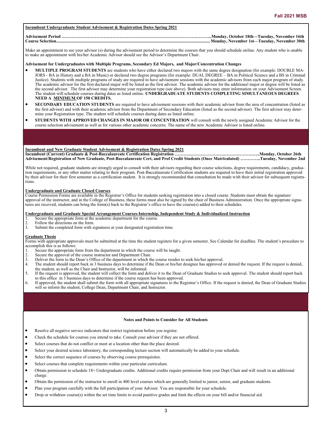## **Incumbent Undergraduate Student Advisement & Registration Dates Spring 2021**

## **Advisement Period …………………………………………………………………………………………..Monday, October 18th—Tuesday, November 16th Course Selection...........................................................................................................................................Monday, November 1st—Tuesday, November 30th**

Make an appointment to see your advisor (s) during the advisement period to determine the courses that you should schedule online. Any student who is unable to make an appointment with his/her Academic Advisor should see the Advisor's Department Chair.

#### **Advisement for Undergraduates with Multiple Programs, Secondary Ed Majors, and Major/Concentration Changes**

- **MULTIPLE PROGRAM STUDENTS** are students who have either declared two majors with the same degree designation (for example: DOUBLE MA-JORS - BA in History and a BA in Music) or declared two degree programs (for example: DUAL DEGREE – BA in Political Science and a BS in Criminal Justice). Students with multiple programs of study are required to have advisement sessions with the academic advisors from each major program of study. The academic advisor for the first declared major will be listed as the first advisor. The academic advisor for the additional major or degree will be listed as the second advisor. The first advisor may determine your registration type (see above). Both advisors may enter information on your Advisement Screen. The student will schedule courses during dates as listed online. **UNDERGRADUATE STUDENTS COMPLETING SIMULTANEOUS DEGREES NEED A MINIMUM OF 150 CREDITS.**
- **SECONDARY EDUCATION STUDENTS** are required to have advisement sessions with their academic advisor from the area of concentration (listed as the first advisor) and with their academic advisor from the Department of Secondary Education (listed as the second advisor). The first advisor may determine your Registration type. The student will schedule courses during dates as listed online.
- **STUDENTS WITH APPROVED CHANGES IN MAJOR OR CONCENTRATION** will consult with the newly assigned Academic Advisor for the course selection advisement as well as for various other academic concerns. The name of the new Academic Advisor is listed online.

## **Incumbent and New Graduate Student Advisement & Registration Dates Spring 2021**

**Incumbent (Current) Graduate & Post-Baccalaureate Certification Registration …………………………………………………..Monday, October 26th Advisement/Registration of New Graduate, Post-Baccalaureate Cert, and Prof Credit Students (Once Matriculated) …………..Tuesday, November 2nd**

While not required, graduate students are strongly urged to consult with their advisors regarding their course selections, degree requirements, candidacy, graduation requirements, or any other matter relating to their program. Post-Baccalaureate Certification students are required to have their initial registration approved by their advisor for their first semester as a certification student. It is strongly recommended that consultation be made with their advisor for subsequent registrations.

## **Undergraduate and Graduate Closed Courses**

Course Permission Forms are available in the Registrar's Office for students seeking registration into a closed course. Students must obtain the signature/ approval of the instructor, and in the College of Business, these forms must also be signed by the chair of Business Administration. Once the appropriate signatures are received, students can bring the form(s) back to the Registrar's office to have the course(s) added to their schedules.

## **Undergraduate and Graduate Special Arrangement Courses-Internship, Independent Study & Individualized Instruction**

- 1. Secure the appropriate form at the academic department for the course.<br>
2. Follow the directions on the form.<br>
2. Submit the completed form with signatures at your designated registrations
- Follow the directions on the form.
- Submit the completed form with signatures at your designated registration time.

#### **Graduate Thesis**

Forms with appropriate approvals must be submitted at the time the student registers for a given semester. See Calendar for deadline. The student's procedure to accomplish this is as follows:

- Secure the appropriate form from the department in which the course will be taught.
- 2. Secure the approval of the course instructor and Department Chair.<br>3. Deliver the form to the Dean's Office of the department in which the
- Deliver the form to the Dean's Office of the department in which the course resides to seek his/her approval.
- 4. The student should report back in 3 business days to determine if the Dean or his/her designee has approved or denied the request. If the request is denied, the student, as well as the Chair and Instructor, will be informed.
- 5. If the request is approved, the student will collect the form and deliver it to the Dean of Graduate Studies to seek approval. The student should report back to this office in 3 business days to determine if the course request has been approved.
- 6. If approved, the student shall submit the form with all appropriate signatures to the Registrar's Office. If the request is denied, the Dean of Graduate Studies will so inform the student, College Dean, Department Chair, and Instructor.

#### **Notes and Points to Consider for All Students**

- Resolve all negative service indicators that restrict registration before you register.
- Check the schedule for courses you intend to take. Consult your advisor if they are not offered.
- Select courses that do not conflict or meet at a location other than the place desired.
- Select your desired science laboratory, the corresponding lecture section will automatically be added to your schedule.
- Select the correct sequence of courses by observing course prerequisites.
- Select courses that complete requirements within your particular curriculum.
- Obtain permission to schedule 18+ Undergraduate credits. Additional credits require permission from your Dept Chair and will result in an additional charge.
- Obtain the permission of the instructor to enroll in 400 level courses which are generally limited to junior, senior, and graduate students.
- Plan your program carefully with the full participation of your Advisor. You are responsible for your schedule.
- Drop or withdraw course(s) within the set time limits to avoid punitive grades and limit the effects on your bill and/or financial aid.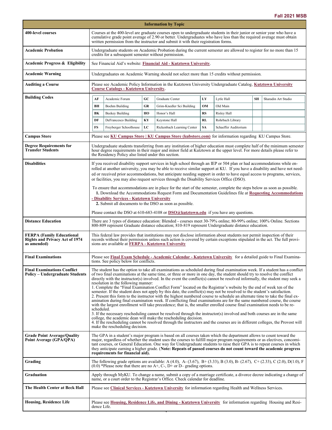٠

| <b>Information by Topic</b>                                                              |                                                                                                                                                                                                                                                                                                                                                                                                                                                                                                                                                                                                                                                                                                                                                                                                                                                                                                                                                                                                                                                                                                                                                                                                                                                                                                                                                                                                                                                       |                                                                                                                                 |      |                                                                                                                                                                                                          |           |                      |    |                     |
|------------------------------------------------------------------------------------------|-------------------------------------------------------------------------------------------------------------------------------------------------------------------------------------------------------------------------------------------------------------------------------------------------------------------------------------------------------------------------------------------------------------------------------------------------------------------------------------------------------------------------------------------------------------------------------------------------------------------------------------------------------------------------------------------------------------------------------------------------------------------------------------------------------------------------------------------------------------------------------------------------------------------------------------------------------------------------------------------------------------------------------------------------------------------------------------------------------------------------------------------------------------------------------------------------------------------------------------------------------------------------------------------------------------------------------------------------------------------------------------------------------------------------------------------------------|---------------------------------------------------------------------------------------------------------------------------------|------|----------------------------------------------------------------------------------------------------------------------------------------------------------------------------------------------------------|-----------|----------------------|----|---------------------|
| <b>400-level courses</b>                                                                 | Courses at the 400-level are graduate courses open to undergraduate students in their junior or senior year who have a<br>cumulative grade point average of 2.90 or better. Undergraduates who have less than the required average must obtain<br>written permission from the instructor and submit it with their registration forms.                                                                                                                                                                                                                                                                                                                                                                                                                                                                                                                                                                                                                                                                                                                                                                                                                                                                                                                                                                                                                                                                                                                 |                                                                                                                                 |      |                                                                                                                                                                                                          |           |                      |    |                     |
| <b>Academic Probation</b>                                                                | Undergraduate students on Academic Probation during the current semester are allowed to register for no more than 15<br>credits for a subsequent semester without permission.                                                                                                                                                                                                                                                                                                                                                                                                                                                                                                                                                                                                                                                                                                                                                                                                                                                                                                                                                                                                                                                                                                                                                                                                                                                                         |                                                                                                                                 |      |                                                                                                                                                                                                          |           |                      |    |                     |
| <b>Academic Progress &amp; Eligibility</b>                                               |                                                                                                                                                                                                                                                                                                                                                                                                                                                                                                                                                                                                                                                                                                                                                                                                                                                                                                                                                                                                                                                                                                                                                                                                                                                                                                                                                                                                                                                       | See Financial Aid's website: Financial Aid - Kutztown University.                                                               |      |                                                                                                                                                                                                          |           |                      |    |                     |
| <b>Academic Warning</b>                                                                  | Undergraduates on Academic Warning should not select more than 15 credits without permission.                                                                                                                                                                                                                                                                                                                                                                                                                                                                                                                                                                                                                                                                                                                                                                                                                                                                                                                                                                                                                                                                                                                                                                                                                                                                                                                                                         |                                                                                                                                 |      |                                                                                                                                                                                                          |           |                      |    |                     |
| <b>Auditing a Course</b>                                                                 | Please see Academic Policy Information in the Kutztown University Undergraduate Catalog, Kutztown University<br><b>Course Catalogs - Kutztown University.</b>                                                                                                                                                                                                                                                                                                                                                                                                                                                                                                                                                                                                                                                                                                                                                                                                                                                                                                                                                                                                                                                                                                                                                                                                                                                                                         |                                                                                                                                 |      |                                                                                                                                                                                                          |           |                      |    |                     |
| <b>Building Codes</b>                                                                    | AF                                                                                                                                                                                                                                                                                                                                                                                                                                                                                                                                                                                                                                                                                                                                                                                                                                                                                                                                                                                                                                                                                                                                                                                                                                                                                                                                                                                                                                                    | Academic Forum                                                                                                                  | $GC$ | Graduate Center                                                                                                                                                                                          | LY        | Lytle Hall           | SH | Sharadin Art Studio |
|                                                                                          | BН                                                                                                                                                                                                                                                                                                                                                                                                                                                                                                                                                                                                                                                                                                                                                                                                                                                                                                                                                                                                                                                                                                                                                                                                                                                                                                                                                                                                                                                    | Boehm Building                                                                                                                  | GR   | Grim-Knedler Sci Building                                                                                                                                                                                | OM        | Old Main             |    |                     |
|                                                                                          | BK                                                                                                                                                                                                                                                                                                                                                                                                                                                                                                                                                                                                                                                                                                                                                                                                                                                                                                                                                                                                                                                                                                                                                                                                                                                                                                                                                                                                                                                    | <b>Beekey Building</b>                                                                                                          | HO   | Honor's Hall                                                                                                                                                                                             | <b>RS</b> | Risley Hall          |    |                     |
|                                                                                          | DF                                                                                                                                                                                                                                                                                                                                                                                                                                                                                                                                                                                                                                                                                                                                                                                                                                                                                                                                                                                                                                                                                                                                                                                                                                                                                                                                                                                                                                                    | DeFrancesco Building                                                                                                            | KY   | Keystone Hall                                                                                                                                                                                            | <b>RL</b> | Rohrbach Library     |    |                     |
|                                                                                          | FS                                                                                                                                                                                                                                                                                                                                                                                                                                                                                                                                                                                                                                                                                                                                                                                                                                                                                                                                                                                                                                                                                                                                                                                                                                                                                                                                                                                                                                                    | Freyberger Schoolhouse                                                                                                          | LC   | Rickenbach Learning Center                                                                                                                                                                               | <b>SA</b> | Schaeffer Auditorium |    |                     |
| <b>Campus Store</b>                                                                      | Please see KU Campus Store   KU Campus Store (kubstore.com) for information regarding KU Campus Store.                                                                                                                                                                                                                                                                                                                                                                                                                                                                                                                                                                                                                                                                                                                                                                                                                                                                                                                                                                                                                                                                                                                                                                                                                                                                                                                                                |                                                                                                                                 |      |                                                                                                                                                                                                          |           |                      |    |                     |
| <b>Degree Requirements for</b><br><b>Transfer Students</b>                               | Undergraduate students transferring from any institution of higher education must complete half of the minimum semester<br>hour degree requirements in their major and minor field at Kutztown at the upper level. For more details please refer to<br>the Residency Policy also listed under this section.                                                                                                                                                                                                                                                                                                                                                                                                                                                                                                                                                                                                                                                                                                                                                                                                                                                                                                                                                                                                                                                                                                                                           |                                                                                                                                 |      |                                                                                                                                                                                                          |           |                      |    |                     |
| <b>Disabilities</b>                                                                      | If you received disability support services in high school through an IEP or 504 plan or had accommodations while en-<br>rolled at another university, you may be able to receive similar support at KU. If you have a disability and have not need-<br>ed or received prior accommodations, but anticipate needing support in order to have equal access to programs, services,<br>or facilities, you may also request services through the Disability Services Office (DSO).<br>To ensure that accommodations are in place for the start of the semester, complete the steps below as soon as possible.                                                                                                                                                                                                                                                                                                                                                                                                                                                                                                                                                                                                                                                                                                                                                                                                                                             |                                                                                                                                 |      |                                                                                                                                                                                                          |           |                      |    |                     |
|                                                                                          | 1. Download the Accommodations Request Form and Documentation Guidelines file at Requesting Accommodations<br>- Disability Services - Kutztown University<br>2. Submit all documents to the DSO as soon as possible.<br>Please contact the DSO at 610-683-4108 or $DSO(\hat{a})$ kutztown.edu if you have any questions.                                                                                                                                                                                                                                                                                                                                                                                                                                                                                                                                                                                                                                                                                                                                                                                                                                                                                                                                                                                                                                                                                                                              |                                                                                                                                 |      |                                                                                                                                                                                                          |           |                      |    |                     |
| <b>Distance Education</b>                                                                | There are 3 types of distance education: Blended - courses meet 30-79% online; 80-99% online; 100% Online. Sections                                                                                                                                                                                                                                                                                                                                                                                                                                                                                                                                                                                                                                                                                                                                                                                                                                                                                                                                                                                                                                                                                                                                                                                                                                                                                                                                   |                                                                                                                                 |      |                                                                                                                                                                                                          |           |                      |    |                     |
|                                                                                          |                                                                                                                                                                                                                                                                                                                                                                                                                                                                                                                                                                                                                                                                                                                                                                                                                                                                                                                                                                                                                                                                                                                                                                                                                                                                                                                                                                                                                                                       | 800-809 represent Graduate distance education; 810-819 represent Undergraduate distance education.                              |      |                                                                                                                                                                                                          |           |                      |    |                     |
| <b>FERPA (Family Educational</b><br><b>Rights and Privacy Act of 1974</b><br>as amended) | This federal law provides that institutions may not disclose information about students nor permit inspection of their<br>records without their permission unless such action is covered by certain exceptions stipulated in the act. The full provi-<br>sions are available at FERPA - Kutztown University                                                                                                                                                                                                                                                                                                                                                                                                                                                                                                                                                                                                                                                                                                                                                                                                                                                                                                                                                                                                                                                                                                                                           |                                                                                                                                 |      |                                                                                                                                                                                                          |           |                      |    |                     |
| <b>Final Examinations</b>                                                                | Please see Final Exam Schedule - Academic Calendar - Kutztown University for a detailed guide to Final Examina-<br>tions. See policy below for conflicts.                                                                                                                                                                                                                                                                                                                                                                                                                                                                                                                                                                                                                                                                                                                                                                                                                                                                                                                                                                                                                                                                                                                                                                                                                                                                                             |                                                                                                                                 |      |                                                                                                                                                                                                          |           |                      |    |                     |
| <b>Final Examinations Conflict</b><br><b>Policy – Undergraduate Students</b>             | The student has the option to take all examinations as scheduled during final examination week. If a student has a conflict<br>of two final examinations at the same time, or three or more in one day, the student should try to resolve the conflict<br>directly with the instructor(s) involved. In the event the conflict(s) cannot be resolved informally, the student may seek a<br>resolution in the following manner:<br>1. Complete the "Final Examination Conflict Form" located on the Registrar's website by the end of week ten of the<br>semester. If the student does not apply by this date, the conflict(s) may not be resolved to the student's satisfaction.<br>2. Present this form to the instructor with the highest numbered course to schedule an alternate time to take the final ex-<br>amination during final examination week. If conflicting final examinations are for the same numbered course, the course<br>with the largest enrollment will take precedence; that is, the smaller enrolled course final examination needs to be re-<br>scheduled.<br>3. If the necessary rescheduling cannot be resolved through the instructor(s) involved and both courses are in the same<br>college, the academic dean will make the rescheduling decision.<br>4. If the rescheduling cannot be resolved through the instructors and the courses are in different colleges, the Provost will<br>make the rescheduling decision. |                                                                                                                                 |      |                                                                                                                                                                                                          |           |                      |    |                     |
| <b>Grade Point Average/Quality</b><br>Point Average (GPA/QPA)                            | The GPA in a student's major program is based on all courses taken which the department allows to count toward the<br>major, regardless of whether the student uses the courses to fulfill major program requirements or as electives, concomi-<br>tant courses, or General Education. One way for Undergraduate students to raise their GPA is to repeat courses in which<br>they anticipate earning a higher grade. (Note: Repeats of passed courses do not count toward the academic progress<br>requirements for financial aid).                                                                                                                                                                                                                                                                                                                                                                                                                                                                                                                                                                                                                                                                                                                                                                                                                                                                                                                  |                                                                                                                                 |      |                                                                                                                                                                                                          |           |                      |    |                     |
| Grading                                                                                  |                                                                                                                                                                                                                                                                                                                                                                                                                                                                                                                                                                                                                                                                                                                                                                                                                                                                                                                                                                                                                                                                                                                                                                                                                                                                                                                                                                                                                                                       |                                                                                                                                 |      | The following grade options are available: A (4.0), A- (3.67), B+ (3.33), B (3.0), B- (2.67), C+ (2.33), C (2.0), D(1.0), F<br>$(0.0)$ *Please note that there are no A+, C-, D+ or D– grading options.  |           |                      |    |                     |
| Graduation                                                                               |                                                                                                                                                                                                                                                                                                                                                                                                                                                                                                                                                                                                                                                                                                                                                                                                                                                                                                                                                                                                                                                                                                                                                                                                                                                                                                                                                                                                                                                       |                                                                                                                                 |      | Apply through MyKU. To change a name, submit a copy of a marriage certificate, a divorce decree indicating a change of<br>name, or a court order to the Registrar's Office. Check calendar for deadline. |           |                      |    |                     |
| The Health Center at Beck Hall                                                           | Please see Clinical Services - Kutztown University for information regarding Health and Wellness Services.                                                                                                                                                                                                                                                                                                                                                                                                                                                                                                                                                                                                                                                                                                                                                                                                                                                                                                                                                                                                                                                                                                                                                                                                                                                                                                                                            |                                                                                                                                 |      |                                                                                                                                                                                                          |           |                      |    |                     |
| <b>Housing, Residence Life</b>                                                           |                                                                                                                                                                                                                                                                                                                                                                                                                                                                                                                                                                                                                                                                                                                                                                                                                                                                                                                                                                                                                                                                                                                                                                                                                                                                                                                                                                                                                                                       | Please see Housing, Residence Life, and Dining - Kutztown University for information regarding Housing and Resi-<br>dence Life. |      |                                                                                                                                                                                                          |           |                      |    |                     |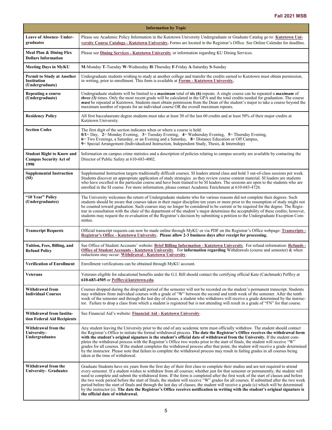| <b>Information by Topic</b>                                               |                                                                                                                                                                                                                                                                                                                                                                                                                                                                                                                                                                                                                                                                                                                                                                                                                                                                     |  |  |  |  |  |
|---------------------------------------------------------------------------|---------------------------------------------------------------------------------------------------------------------------------------------------------------------------------------------------------------------------------------------------------------------------------------------------------------------------------------------------------------------------------------------------------------------------------------------------------------------------------------------------------------------------------------------------------------------------------------------------------------------------------------------------------------------------------------------------------------------------------------------------------------------------------------------------------------------------------------------------------------------|--|--|--|--|--|
| <b>Leave of Absence- Under-</b><br>graduates                              | Please see Academic Policy Information in the Kutztown University Undergraduate or Graduate Catalog go to: Kutztown Uni-<br>versity Course Catalogs - Kutztown University. Forms are located in the Registrar's Office. See Online Calendar for deadline.                                                                                                                                                                                                                                                                                                                                                                                                                                                                                                                                                                                                           |  |  |  |  |  |
| Meal Plan & Dining Flex<br><b>Dollars Information</b>                     | Please see <b>Dining Services - Kutztown University</b> or information regarding KU Dining Services.                                                                                                                                                                                                                                                                                                                                                                                                                                                                                                                                                                                                                                                                                                                                                                |  |  |  |  |  |
| <b>Meeting Days in MyKU</b>                                               | M-Monday T-Tuesday W-Wednesday H-Thursday F-Friday A-Saturday S-Sunday                                                                                                                                                                                                                                                                                                                                                                                                                                                                                                                                                                                                                                                                                                                                                                                              |  |  |  |  |  |
| <b>Permit to Study at Another</b><br>Institution<br>(Undergraduate)       | Undergraduate students wishing to study at another college and transfer the credits earned to Kutztown must obtain permission,<br>in writing, prior to enrollment. This form is available at Forms - Kutztown University.                                                                                                                                                                                                                                                                                                                                                                                                                                                                                                                                                                                                                                           |  |  |  |  |  |
| Repeating a course<br>(Undergraduate)                                     | Undergraduate students will be limited to a <i>maximum</i> total of $\sin(6)$ repeats. A single course can be repeated a <i>maximum</i> of<br><i>three</i> $(3)$ times. Only the most recent grade will be calculated in the GPA and the total credits needed for graduation. The course<br><i>must</i> be repeated at Kutztown. Students must obtain permission from the Dean of the student's major to take a course beyond the<br>maximum number of repeats for an individual course OR the overall maximum repeats.                                                                                                                                                                                                                                                                                                                                             |  |  |  |  |  |
| <b>Residency Policy</b>                                                   | All first baccalaureate degree students must take at least 30 of the last 60 credits and at least 50% of their major credits at<br>Kutztown University.                                                                                                                                                                                                                                                                                                                                                                                                                                                                                                                                                                                                                                                                                                             |  |  |  |  |  |
| <b>Section Codes</b>                                                      | The first digit of the section indicates when or where a course is held:<br>$0/1 =$ Day, 2 = Monday Evening, 3 = Tuesday Evening, 4 = Wednesday Evening, 5 = Thursday Evening,<br>6 Two Evenings, a Saturday, or an Evening and a Saturday, 8 Distance Education or Off Campus,<br>9 Special Arrangement (Individualized Instruction, Independent Study, Thesis, & Internship)                                                                                                                                                                                                                                                                                                                                                                                                                                                                                      |  |  |  |  |  |
| <b>Student Right to Know and</b><br><b>Campus Security Act of</b><br>1990 | Information on campus crime statistics and a description of policies relating to campus security are available by contacting the<br>Director of Public Safety at 610-683-4002.                                                                                                                                                                                                                                                                                                                                                                                                                                                                                                                                                                                                                                                                                      |  |  |  |  |  |
| <b>Supplemental Instruction</b><br>(SI)                                   | Supplemental Instruction targets traditionally difficult courses. SI leaders attend class and hold 3 out-of-class sessions per week.<br>Students discover an appropriate application of study strategies as they review course content material. SI leaders are students<br>who have excelled in the particular course and have been trained to be SI leaders. The sessions are open to the students who are<br>enrolled in the SI course. For more information, please contact Academic Enrichment at 610-683-4726.                                                                                                                                                                                                                                                                                                                                                |  |  |  |  |  |
| "10 Year" Policy<br>(Undergraduates)                                      | The University welcomes the return of Undergraduate students who for various reasons did not complete their degrees. Such<br>students should be aware that courses taken in their major discipline ten years or more prior to the resumption of study might not<br>be counted toward graduation. Such courses may no longer be considered to be current or be required for the degree. The Regis-<br>trar in consultation with the chair of the department of the student's major determines the acceptability of these credits; however,<br>students may request the re-evaluation of the Registrar's decision by submitting a petition to the Undergraduate Exception Com-<br>mittee.                                                                                                                                                                             |  |  |  |  |  |
| <b>Transcript Requests</b>                                                | Official transcript requests can now be made online through MyKU or via PDF on the Registrar's Office webpage: Transcripts -<br>Registrar's Office - Kutztown University. Please allow 2-3 business days after receipt for processing.                                                                                                                                                                                                                                                                                                                                                                                                                                                                                                                                                                                                                              |  |  |  |  |  |
| Tuition, Fees, Billing, and<br><b>Refund Policy</b>                       | See Office of Student Accounts' website: Brief Billing Information - Kutztown University. For refund information: Refunds -<br>Office of Student Accounts - Kutztown University. For information regarding Withdrawals (course and semester) & when<br>reductions may occur: Withdrawal - Kutztown University.                                                                                                                                                                                                                                                                                                                                                                                                                                                                                                                                                      |  |  |  |  |  |
| <b>Verification of Enrollment</b>                                         | Enrollment verifications can be obtained through MyKU account.                                                                                                                                                                                                                                                                                                                                                                                                                                                                                                                                                                                                                                                                                                                                                                                                      |  |  |  |  |  |
| <b>Veterans</b>                                                           | Veterans eligible for educational benefits under the G.I. Bill should contact the certifying official Kate (Catchmark) Peffley at<br>610-683-4505 or Peffley@kutztown.edu.                                                                                                                                                                                                                                                                                                                                                                                                                                                                                                                                                                                                                                                                                          |  |  |  |  |  |
| Withdrawal from<br><b>Individual Courses</b>                              | Courses dropped during the drop/add period of the semester will not be recorded on the student's permanent transcript. Students<br>may withdraw from individual courses with a grade of "W" between the second and tenth week of the semester. After the tenth<br>week of the semester and through the last day of classes, a student who withdraws will receive a grade determined by the instruc-<br>tor. Failure to drop a class from which a student is registered but is not attending will result in a grade of "FN" for that course.                                                                                                                                                                                                                                                                                                                         |  |  |  |  |  |
| <b>Withdrawal from Institu-</b><br>tion Federal Aid Recipients            | See Financial Aid's website: Financial Aid - Kutztown University.                                                                                                                                                                                                                                                                                                                                                                                                                                                                                                                                                                                                                                                                                                                                                                                                   |  |  |  |  |  |
| Withdrawal from the<br>University-<br><b>Undergraduates</b>               | Any student leaving the University prior to the end of any academic term must officially withdraw. The student should contact<br>the Registrar's Office to initiate the formal withdrawal process. The date the Registrar's Office receives the withdrawal form<br>with the student's original signature is the student's official date of withdrawal from the University. If the student com-<br>pletes the withdrawal process with the Registrar's Office two weeks prior to the start of finals, the student will receive "W"<br>grades for all courses. If the student completes the withdrawal process after that point, the student will receive a grade determined<br>by the instructor. Please note that failure to complete the withdrawal process may result in failing grades in all courses being<br>taken at the time of withdrawal.                   |  |  |  |  |  |
| Withdrawal from the<br>University– Graduates                              | Graduate Students have six years from the first day of their first class to complete their studies and are not required to attend<br>every semester. If a student wishes to withdraw from all courses; whether just for that semester or permanently, the student will<br>need to complete and submit the withdrawal form. If the form is completed after the first week of the start of classes and before<br>the two week period before the start of finals, the student will receive "W" grades for all courses. If submitted after the two week<br>period before the start of finals and through the last day of classes, the student will receive a grade (s) which will be determined<br>by the instructor (s). The date the Registrar's Office receives notification in writing with the student's original signature is<br>the official date of withdrawal. |  |  |  |  |  |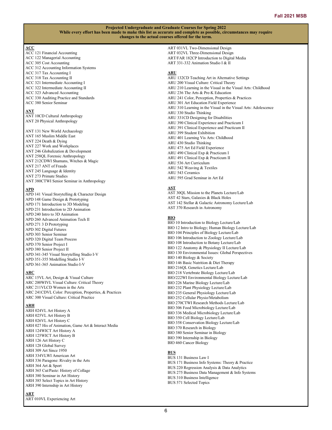## **ACC**

ACC 121 Financial Accounting ACC 122 Managerial Accounting ACC 305 Cost Accounting ACC 312 Accounting Information Systems ACC 317 Tax Accounting I ACC 318 Tax Accounting II ACC 321 Intermediate Accounting I ACC 322 Intermediate Accounting II ACC 323 Advanced Accounting ACC 330 Auditing Practice and Standards ACC 380 Senior Seminar

## **ANT**

ANT 10CD Cultural Anthropology ANT 20 Physical Anthropology

ANT 131 New World Archaeology ANT 165 Muslim Middle East ANT 224 Death & Dying ANT 227 Work and Workplaces ANT 246 Globalization & Development ANT 258QL Forensic Anthropology ANT 212CDWI Shamans, Witches & Magic ANT 217 ANT of Frauds ANT 245 Language & Identity ANT 273 Primate Studies ANT 380CTWI Senior Seminar in Anthropology

## **APD**

APD 141 Visual Storytelling & Character Design APD 148 Game Design & Prototyping APD 171 Introduction to 3D Modeling APD 231 Introduction to 2D Animation APD 240 Intro to 3D Animation APD 260 Advanced Animation Tech II APD 271 3 D Prototyping APD 302 Digital Futures APD 303 Senior Seminar APD 320 Digital Team Process APD 370 Senior Project I APD 380 Senior Project II APD 341-345 Visual Storytelling Studio I-V APD 351-355 Modelling Studio I-V APD 361-365 Animation Studio I-V

## **ARC**

ARC 15VL Art, Design & Visual Culture ARC 200WIVL Visual Culture: Critical Theory ARC 211VLCD Women in the Arts ARC 241CDVL Color: Perception, Properties, & Practices ARC 300 Visual Culture: Critical Practice

## **ARH**

ARH 024VL Art History A ARH 025VL Art History B ARH 026VL Art History C ARH 027 His of Animation, Game Art & Interact Media ARH 124WICT Art History A ARH 125WICT Art History B ARH 126 Art History C ARH 128 Global Survey ARH 309 Art Since 1950 ARH 334VLWI American Art ARH 336 Paragone: Rivalry in the Arts ARH 364 Art & Sport ARH 365 Cut/Paste: History of Collage ARH 380 Seminar in Art History ARH 385 Select Topics in Art History ARH 390 Internship in Art History

#### **ART**

ART 010VL Experiencing Art

ART 031VL Two-Dimensional Design ART 032VL Three-Dimensional Design ART/FAR 182CP Introduction to Digital Media ART 331-332 Animation Studio I & II

## **ARU**

- ARU 132CD Teaching Art in Alternative Settings ARU 200 Visual Culture: Critical Theory ARU 210 Learning in the Visual in the Visual Arts: Childhood ARU 236 The Arts & Pre-K Education ARU 241 Color, Perception, Properties & Practices ARU 301 Art Education Field Experience ARU 310 Learning in the Visual in the Visual Arts: Adolescence ARU 330 Studio Thinking ARU 331CD Designing for Disabilities ARU 390 Clinical Experience and Practicum I ARU 391 Clinical Experience and Practicum II ARU 399 Student Exhibition ARU 401 Learning Vis Arts: Childhood ARU 430 Studio Thinking ARU 475 Art Ed Field Experience ARU 490 Clinical Exp & Practicum I ARU 491 Clinical Exp & Practicum II ARU 536 Art Curriculum ARU 542 Weaving & Textiles ARU 543 Ceramics
- ARU 595 Grad Seminar in Art Ed

## **AST**

AST 30QL Mission to the Planets Lecture/Lab AST 42 Stars, Galaxies & Black Holes AST 142 Stellar & Galactic Astronomy Lecture/Lab AST 370 Research in Astronomy

## **BIO**

BIO 10 Introduction to Biology Lecture/Lab BIO 12 Intro to Biology; Human Biology Lecture/Lab BIO 104 Principles of Biology Lecture/Lab BIO 106 Introduction to Zoology Lecture/Lab BIO 108 Introduction to Botany Lecture/Lab BIO 122 Anatomy & Physiology II Lecture/Lab BIO 130 Environmental Issues: Global Perspectives BIO 140 Biology & Society BIO 146 Basic Nutrition & Diet Therapy BIO 216QL Genetics Lecture/Lab BIO 218 Vertebrate Biology Lecture/Lab BIO/222WI Environmental Biology Lecture/Lab BIO 226 Marine Biology Lecture/Lab BIO 232 Plant Physiology Lecture/Lab BIO 235 General Physiology Lecture/Lab BIO 252 Cellular Physio/Metabolism BIO 270CTWI Research Methods Lecture/Lab BIO 306 Food Microbiology Lecture/Lab BIO 336 Medical Microbiology Lecture/Lab BIO 350 Cell Biology Lecture/Lab BIO 358 Conservation Biology Lecture/Lab BIO 370 Research in Biology BIO 380 Senior Seminar in Biology BIO 390 Internship in Biology BIO 460 Cancer Biology

## **BUS**

BUS 131 Business Law I BUS 171 Business Info Systems: Theory & Practice BUS 220 Regression Analysis & Data Analytics BUS 275 Business Data Management & Info Systems BUS 310 Business Intelligence BUS 571 Selected Topics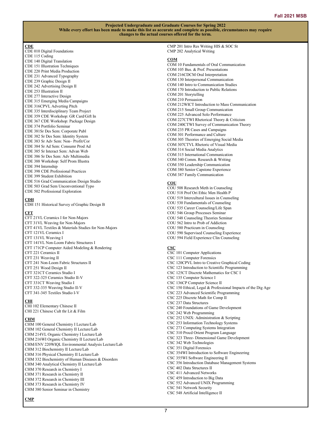## **CDE**

CDE 010 Digital Foundations CDE 115 Coding CDE 140 Digital Translation CDE 151 Illustration Techniques CDE 220 Print Media Production CDE 231 Advanced Typography CDE 239 Graphic Design II CDE 242 Advertising Design II CDE 253 Illustration II CDE 277 Interactive Design CDE 315 Emerging Media Campaigns CDE 316CPVL Adverting Pitch CDE 335 Interdisciplinary Team Project CDE 359 CDE Workshop: GR Card/Gift In CDE 367 CDE Workshop: Package Design CDE 374 Portfolio Seminar CDE 381Sr Des Sem: Corporate Publ CDE 382 Sr Des Sem: Identity System CDE 383 Sr Adv Sem: Non– Profit/Cor CDE 384 Sr Ad Sem: Consumr Prod Ad CDE 385 Sr Interact Sem: Advan Web CDE 386 Sr Des Sem: Adv Multimedia CDE 388 Workshop: Self Prom Illustra CDE 394 Internship CDE 398 CDE Professional Practices CDE 399 Student Exhibition CDE 516 Grad Communication Design Studio CDE 503 Grad Sem Unconventional Typo CDE 502 Professional Exploration

## **CDH**

CDH 151 Historical Survey of Graphic Design B

#### **CFT**

CFT 21VL Ceramics I for Non-Majors CFT 31VL Weaving for Non-Majors CFT 41VL Textiles & Materials Studies for Non-Majors CFT 121VL Ceramics I CFT 131VL Weaving I CFT 141VL Non-Loom Fabric Structures I CFT 171CP Computer Aided Modeling & Rendering CFT 221 Ceramics II CFT 231 Weaving II CFT 241 Non-Loom Fabric Structures II CFT 251 Wood Design II CFT 321CT Ceramics Studio I CFT 322-325 Ceramics Studio II-V CFT 331CT Weaving Studio I CFT 332-335 Weaving Studio II-V CFT 341-345 Textiles Studio I-V

## **CHI**

CHI 102 Elementary Chinese II CHI 221 Chinese Cult thr Lit & Film

#### **CHM**

CHM 100 General Chemistry I Lecture/Lab CHM 102 General Chemistry II Lecture/Lab CHM 214VL Organic Chemistry I Lecture/Lab CHM 216WI Organic Chemistry II Lecture/Lab CHM/ENV 220WIQL Environmental Analysis Lecture/Lab CHM 312 Biochemistry II Lecture/Lab CHM 316 Physical Chemistry II Lecture/Lab CHM 332 Biochemistry of Human Diseases & Disorders CHM 340 Analytical Chemistry II Lecture/Lab CHM 370 Research in Chemistry I CHM 371 Research in Chemistry II CHM 372 Research in Chemistry III CHM 373 Research in Chemistry IV CHM 380 Senior Seminar in Chemistry

#### **CMP**

CMP 201 Intro Res Writing HIS & SOC St CMP 202 Analytical Writing

## **COM**

COM 10 Fundamentals of Oral Communication COM 105 Bus. & Prof. Presentations COM 216CDCM Oral Interpretation COM 130 Interpersonal Communication COM 140 Intro to Communication Studies COM 170 Introduction to Public Relations COM 201 Storytelling COM 210 Persuasion COM 212WICT Introduction to Mass Communication COM 215 Small Group Communication COM 225 Advanced Solo Performance COM 227CTWI Rhetorical Theory & Criticism COM 240CTWI Survey of Communication Theory COM 235 PR Cases and Campaigns COM 301 Performance and Culture COM 305 Theories of Emerging Social Media COM 307CTVL Rhetoric of Visual Media COM 314 Social Media Analytics COM 315 International Communication COM 340 Comm. Research & Writing COM 350 Leadership Communication COM 380 Senior Capstone Experience COM 387 Family Communication

#### **COU**

COU 508 Research Meth in Counseling COU 518 Prof Ori Ethic Men Health P COU 519 Intercultural Issues in Counseling COU 530 Fundamentals of Counseling COU 535 Career Counseling/Life Span COU 546 Group Processes Seminar COU 548 Counseling Theories Seminar COU 562 Intro to Prob of Addiction COU 580 Practicum in Counseling COU 590 Supervised Counseling Experience COU 594 Field Experience Clin Counseling

## **CSC**

CSC 101 Computer Applications CSC 111 Computer Forensics CSC 120CPVL Intro to Creative Graphical Coding CSC 123 Introduction to Scientific Programming CSC 125CT Discrete Mathematics for CSC I CSC 135 Computer Science I CSC 136CP Computer Science II CSC 150 Ethical, Legal & Professional Impacts of the Dig Age CSC 223 Advanced Scientific Programming CSC 225 Discrete Math for Comp II CSC 237 Data Structures CSC 240 Foundations of Game Development CSC 242 Web Programming CSC 252 UNIX: Administration & Scripting CSC 253 Information Technology Systems CSC 273 Computing Systems Integration CSC 310 Procd Orient Program Language CSC 323 Three- Dimensional Game Development CSC 342 Web Technologies CSC 351 Digital Forensics CSC 354WI Introduction to Software Engineering CSC 355WI Software Engineering II CSC 356 Introduction Database Management Systems CSC 402 Data Structures II CSC 411 Advanced Networks CSC 459 Introduction to Big Data CSC 552 Advanced UNIX Programming CSC 541 Network Security CSC 548 Artificial Intelligence II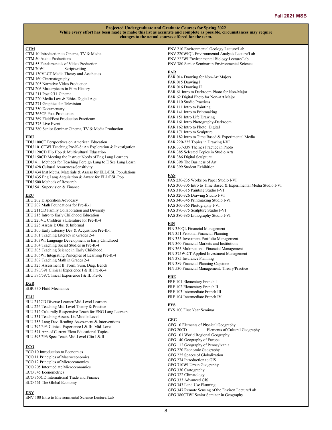## **CTM**

- CTM 10 Introduction to Cinema, TV & Media CTM 50 Audio Productions CTM 55 Fundamentals of Video Production CTM 70WI Scriptwriting
- CTM 130VLCT Media Theory and Aesthetics
- CTM 160 Cinematography
- CTM 205 Narrative Video Production
- CTM 206 Masterpieces in Film History
- CTM 211 Post 9/11 Cinema
- CTM 220 Media Law & Ethics Digital Age
- CTM 271 Graphics for Television
- CTM 350 Documentary
- CTM 365CP Post-Production
- CTM 369 Field/Post Production Practicum
- CTM 375 Live Event
- CTM 380 Senior Seminar Cinema, TV & Media Production

## **EDU**

EDU 100CT Perspectives on American Education EDU 101CTWI Teaching Pre-K-8: An Exploration & Investigation EDU 120CD Hip Hop & Multicultural Education EDU 150CD Meeting the Instruct Needs of Eng Lang Learners EDU 411 Methods for Teaching Foreign Lang to E Sec Lang Learn EDU 428 Cultural Awareness/Sensitivity EDU 434 Inst Meths, Materials & Assess for ELL/ESL Populations EDU 435 Eng Lang Acquisition & Aware for ELL/ESL Pop EDU 500 Methods of Research EDU 541 Supervision & Finance

## **EEU**

- EEU 202 Disposition/Advocacy EEU 209 Math Foundations for Pre-K-1 EEU 211CD Family Collaboration and Diversity EEU 215 Intro to Early Childhood Education EEU 220VL Children's Literature for Pre-K-4 EEU 225 Assess I: Obs. & Informal EEU 300 Early Literacy Dev & Acquisition Pre-K-1 EEU 301 Teaching Literacy in Grades 2-4 EEU 303WI Language Development in Early Childhood EEU 304 Teaching Social Studies in Pre-K-4
- EEU 305 Teaching Science in Early Childhood
- EEU 306WI Integrating Principles of Learning Pre-K-4
- EEU 309 Teaching Math in Grades 2-4
- EEU 325 Assessment II: Form, Sum, Diag, Bench
- EEU 390/391 Clinical Experience I & II: Pre-K-4
- EEU 596/597Clinical Experience I & II: Pre-K

## **EGR**

EGR 330 Fluid Mechanics

## **ELU**

- ELU 212CD Diverse Learner/Mid-Level Learners
- ELU 226 Teaching Mid-Level Theory & Practice
- ELU 312 Culturally Responsive Teach for ENG Lang Learners
- ELU 331 Teaching Assess. Lit/Middle Level
- ELU 353 Lang Dev. Reading Assessment & Interventions ELU 392/393 Clinical Experience I & II: Mid-Level
- ELU 571 App of Current Elem Educational Topics
- ELU 595/596 Spec Teach Mid-Level Clin I & II
- 

## **ECO**

- ECO 10 Introduction to Economics
- ECO 11 Principles of Macroeconomics
- ECO 12 Principles of Microeconomics ECO 205 Intermediate Microeconomics
- ECO 345 Econometrics
- ECO 360CD International Trade and Finance
- ECO 561 The Global Economy

## **ENV**

ENV 100 Intro to Environmental Science Lecture/Lab

ENV 210 Environmental Geology Lecture/Lab ENV 220WIQL Environmental Analysis Lecture/Lab ENV 222WI Environmental Biology Lecture/Lab ENV 380 Senior Seminar in Environmental Science

## **FAR**

FAR 014 Drawing for Non-Art Majors FAR 015 Drawing I FAR 016 Drawing II FAR 61 Intro to Darkroom Photo for Non-Major FAR 62 Digital Photo for Non-Art Major FAR 110 Studio Practices FAR 111 Intro to Painting FAR 141 Intro to Printmaking FAR 151 Intro Life Drawing FAR 161 Intro Photography-Darkroom FAR 162 Intro to Photo: Digital FAR 171 Intro to Sculpture FAR 182 Intro to Time Based & Experimental Media FAR 220-225 Topics in Drawing I-VI FAR 337-339 Themes Practice in Photo FAR 385 Selected Topics in Studio Arts FAR 386 Digital Sculpture FAR 398 The Business of Art FAR 399 Student Exhibition

## **FAS**

FAS 230-235 Works on Paper Studio I-VI FAS 300-305 Intro to Time Based & Experimental Media Studio I-VI FAS 310-315 Painting Studio I-VI FAS 320-326 Drawing Studio I-VI FAS 340-345 Printmaking Studio I-VI FAS 360-365 Photography I-VI FAS 370-375 Sculpture Studio I-VI FAS 380-385 Lithography Studio I-VI

## **FIN**

FIN 350QL Financial Management FIN 351 Personal Financial Planning FIN 355 Investment Portfolio Management FIN 360 Financial Markets and Institutions FIN 365 Multinational Financial Management FIN 375WICT Applied Investment Management FIN 385 Insurance Planning FIN 389 Financial Planning Capstone FIN 530 Financial Management: Theory/Practice

## **FRE**

FRE 101 Elementary French I FRE 102 Elementary French II FRE 103 Intermediate French III FRE 104 Intermediate French IV

## **FYS**

FYS 100 First Year Seminar

#### **GEG**

- GEG 10 Elements of Physical Geography GEG 20CD Elements of Cultural Geography GEG 101 World Regional Geography GEG 140 Geography of Europe GEG 112 Geography of Pennsylvania GEG 220 Economic Geography GEG 225 Spaces of Globalization GEG 274 Introduction to GIS GEG 310WI Urban Geography GEG 330 Cartography GEG 322 Climatology GEG 333 Advanced GIS GEG 343 Land Use Planning GEG 347 Remote Sensing of the Environ Lecture/Lab
- GEG 380CTWI Senior Seminar in Geography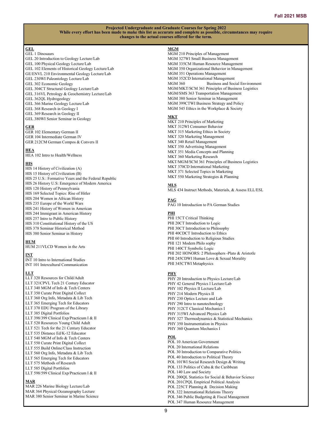## **GEL**

- GEL 1 Dinosaurs
- GEL 20 Introduction to Geology Lecture/Lab GEL 100 Physical Geology Lecture/Lab GEL 102 Elements of Historical Geology Lecture/Lab GE/ENVL 210 Environmental Geology Lecture/Lab GEL 230WI Paleontology Lecture/Lab GEL 302 Economic Geology GEL 304CT Structural Geology Lecture/Lab GEL 316VL Petrology & Geochemistry Lecture/Lab GEL 362QL Hydrogeology GEL 366 Marine Geology Lecture/Lab
- GEL 368 Research in Geology I
- GEL 369 Research in Geology II
- GEL 380WI Senior Seminar in Geology

## **GER**

GER 102 Elementary German II GER 104 Intermediate German IV GER 212CM German Compos & Convers II

## **HEA**

HEA 102 Intro to Health/Wellness

## **HIS**

HIS 14 History of Civilization (A) HIS 15 History of Civilization (B) HIS 25 U.S.: Formative Years and the Federal Republic HIS 26 History U.S: Emergence of Modern America HIS 120 History of Pennsylvania HIS 169 Selected Topics: Rise of Hitler HIS 204 Women in African History HIS 235 Europe of the World Wars HIS 241 History of Women in American HIS 244 Immigrant in American History HIS 257 Intro to Public History HIS 310 Constitutional History of the US HIS 378 Seminar Historical Method HIS 380 Senior Seminar in History

## **HUM**

HUM 211VLCD Women in the Arts

## **INT**

INT 10 Intro to International Studies INT 101 Intercultural Communication

## **LLT**

LLT 320 Resources for Child/Adult LLT 321CPVL Tech 21 Century Educator LLT 340 MGM of Info & Tech Centers LLT 350 Curate Print Digital Collect LLT 360 Org Info, Metadata & Lib Tech LLT 365 Emerging Tech for Educators LLT 370 EDU Program of the Library LLT 385 Digital Portfolios LLT 398/399 Clinical Exp/Practicum I & II LLT 520 Resources Young Child Adult LLT 521 Tech for the 21 Century Educator LLT 535 Distance Ed/K-12 Educator LLT 540 MGM of Info & Tech Centers LLT 550 Curate Print Digital Collect LLT 555 Build Online/Class Instruction LLT 560 Org Info, Metadata & Lib Tech LLT 565 Emerging Tech for Educators LLT 575 Methods of Research LLT 585 Digital Portfolios LLT 598/599 Clinical Exp/Practicum I & II

## **MAR**

MAR 226 Marine Biology Lecture/Lab MAR 364 Physical Oceanography Lecture MAR 380 Senior Seminar in Marine Science

## **MGM**

MGM 210 Principles of Management MGM 327WI Small Business Management MGM 335CM Human Resource Management MGM 350 Organizational Behavior in Management MGM 351 Operations Management MGM 352CD International Management<br>MGM 360 Business and Soc Business and Social Environment MGM/MKT/SCM 361 Principles of Business Logistics MGM/SMS 363 Transportation Management MGM 380 Senior Seminar in Management MGM 399CTWI Business Strategy and Policy MGM 545 Ethics in the Workplace & Society

## **MKT**

MKT 210 Principles of Marketing MKT 312WI Consumer Behavior MKT 315 Marketing Ethics in Society MKT 320 Marketing Management MKT 340 Retail Management MKT 350 Advertising Management MKT 351 Media Concepts and Planning MKT 360 Marketing Research MKT/MGM/SCM 361 Principles of Business Logistics MKT 370CD International Marketing MKT 371 Selected Topics in Marketing MKT 550 Marketing Strategies & Planning

## **MLS**

MLS 434 Instruct Methods, Materials, & Assess ELL/ESL

## **PAG**

PAG 10 Introduction to PA German Studies

## **PHI**

PHI 15CT Critical Thinking PHI 20CT Introduction to Logic PHI 30CT Introduction to Philosophy PHI 40CDCT Introduction to Ethics PHI 60 Introduction to Religious Studies PHI 121 Modern Philo sophy PHI 140CT Symbolic Logic PHI 202 HONORS: 2 Philosophers -Plato & Aristotle PHI 245CDWI Human Love & Sexual Morality PHI 345CTWI Metaphysics

## **PHY**

PHY 20 Introduction to Physics Lecture/Lab PHY 42 General Physics I Lecture/Lab PHY 102 Physics II Lecture/Lab PHY 214 Modern Physics II PHY 230 Optics Lecture and Lab PHY 290 Intro to nanotechnology PHY 312CT Classical Mechanics I PHY 315WI Advanced Physics Lab PHY 327 Thermodynamics & Statistical Mechanics PHY 350 Instrumentation in Physics PHY 360 Quantum Mechanics I

## **POL**

POL 10 American Government POL 20 International Relations POL 30 Introduction to Comparative Politics POL 40 Introduction to Political Theory POL 101WI Social Research Design & Writing POL 133 Politics of Cuba & the Caribbean POL 140 Law and Society POL 200QL Statistics for Social & Behavior Science POL 201CPQL Empirical Political Analysis POL 225CT Planning & Decision Making POL 322 International Relations Theory POL 346 Public Budgeting & Fiscal Management POL 347 Human Resource Management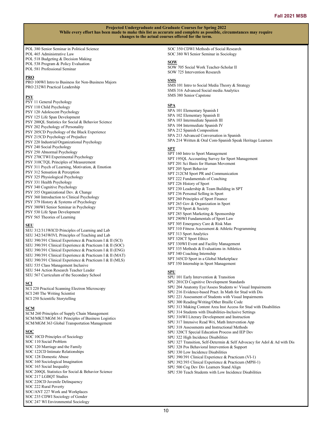POL 380 Senior Seminar in Political Science POL 465 Administrative Law

- POL 518 Budgeting & Decision Making
- POL 538 Program & Policy Evaluation
- POL 581 Professional Seminar

## **PRO**

PRO 100WI Intro to Business for Non-Business Majors PRO 232WI Practical Leadership

## **PSY**

- PSY 11 General Psychology PSY 110 Child Psychology PSY 120 Adolescent Psychology PSY 125 Life Span Development PSY 200QL Statistics for Social & Behavior Science PSY 202 Psychology of Personality PSY 205CD Psychology of the Black Experience PSY 215CD Psychology of Prejudice PSY 220 Industrial/Organizational Psychology PSY 240 Social Psychology PSY 250 Abnormal Psychology PSY 270CTWI Experimental Psychology PSY 310CTQL Principles of Measurement PSY 311 Psych of Learning, Motivation, & Emotion PSY 312 Sensation & Perception PSY 325 Physiological Psychology PSY 331 Health Psychology PSY 340 Cognitive Psychology PSY 355 Organizational Dev. & Change PSY 360 Introduction to Clinical Psychology PSY 379 History & Systems of Psychology
- PSY 380WI Senior Seminar in Psychology
- PSY 530 Life Span Development
- PSY 565 Theories of Learning

## **SEU**

SEU 312/313WICD Principles of Learning and Lab SEU 342/343WIVL Principles of Teaching and Lab SEU 390/391 Clinical Experience & Practicum I & II (SCI) SEU 390/391 Clinical Experience & Practicum I & II (SOC) SEU 390/391 Clinical Experience & Practicum I & II (ENG) SEU 390/391 Clinical Experience & Practicum I & II (MAT) SEU 390/391 Clinical Experience & Practicum I & II (MLS) SEU 535 Class Management Inclusive SEU 544 Action Research Teacher Leader SEU 567 Curriculum of the Secondary School

## **SCI**

SCI 220 Practical Scanning Electron Microscopy SCI 240 The Writing Scientist SCI 250 Scientific Storytelling

## **SCM**

SCM 260 Principles of Supply Chain Management SCM/MKT/MGM 361 Principles of Business Logistics SCM/MGM 363 Global Transportation Management

## **SOC**

SOC 10CD Principles of Sociology SOC 110 Social Problem SOC 120 Marriage and the Family SOC 122CD Intimate Relationships SOC 128 Domestic Abuse SOC 160 Sociological Imagination SOC 165 Social Inequality SOC 200QL Statistics for Social & Behavior Science SOC 217 LGBQT Studies SOC 220CD Juvenile Delinquency SOC 222 Rural Poverty SOC/ANT 227 Work and Workplaces SOC 235 CDWI Sociology of Gender SOC 247 WI Environmental Sociology

SOC 350 CDWI Methods of Social Research SOC 380 WI Senior Seminar in Sociology

## **SOW**

SOW 705 Social Work Teacher-Scholar II SOW 725 Intervention Research

## **SMS**

SMS 101 Intro to Social Media Theory & Strategy SMS 316 Advanced Social media Analytics SMS 380 Senior Capstone

## **SPA**

SPA 101 Elementary Spanish I SPA 102 Elementary Spanish II SPA 103 Intermediate Spanish III SPA 104 Intermediate Spanish IV SPA 212 Spanish Composition SPA 213 Advanced Conversation in Spanish SPA 214 Written & Oral Com-Spanish Speak Heritage Learners **SPT** SPT 160 Intro to Sport Management SPT 195QL Accounting Survey for Sport Management SPT 201 Sci Basis for Human Movement SPT 205 Sport Behavior SPT 212CM Sport PR and Communication SPT 222 Fundamentals of Coaching SPT 226 History of Sport SPT 230 Leadership & Team Building in SPT SPT 236 Personal Selling in Sport SPT 260 Principles of Sport Finance SPT 265 Gov & Organization in Sport SPT 270 Sport & Society SPT 285 Sport Marketing & Sponsorship SPT 290WI Fundamentals of Sport Law SPT 305 Emergency Care & Risk Man SPT 310 Fitness Assessment & Athletic Programming SPT 313 Sport Analytics SPT 320CT Sport Ethics SPT 330WI Event and Facility Management SPT 335 Methods & Evaluations in Athletics SPT 340 Coaching Internship SPT 345CD Sport in a Global Marketplace

SPT 350 Internship in Sport Management

## **SPU**

SPU 101 Early Intervention & Transition SPU 201CD Cognitive Development Standards SPU 204 Anatomy Eye/Assess Students w/ Visual Impairments SPU 216 Evidence-based Pract. In Math for Stud with Dis SPU 221 Assessment of Students with Visual Impairments SPU 300 Reading/Writing/Other Braille Code SPU 313 Making Content Area Inst Access for Stud with Disabilities SPU 314 Students with Disabilities-Inclusive Settings SPU 316WI Literary Development and Instruction SPU 317 Intensive Read Wri, Math Intervention App SPU 318 Assessments and Instructional Methods SPU 320CT Special Education Process and IEP Dev SPU 322 High Incidence Disabilities SPU 327 Transition, Self-Determin & Self Advocacy for Adol & Ad with Dis SPU 328 Pos Behavioral Intervention & Support SPU 330 Low Incidence Disabilities SPU 390/391 Clinical Experience & Practicum (VI-1) SPU 392/393 Clinical Experience & Practicum (MPH-1) SPU 500 Cog Dev Div Learners Stand Align SPU 530 Teach Students with Low Incidence Disabilities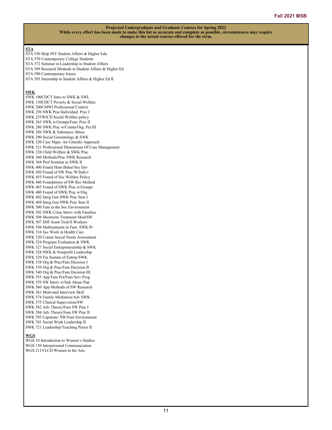## **STA**

- STA 530 Help INT Student Affairs & Higher Edu
- STA 570 Contemporary College Students
- STA 572 Seminar in Leadership in Student Affairs
- STA 589 Research Methods in Student Affairs & Higher Ed
- STA 590 Contemporary Issues
- STA 593 Internship in Student Affairs & Higher Ed II

## **SWK**

SWK 100CDCT Intro to SWK & SWL SWK 130CDCT Poverty & Social Welfare SWK 200CMWI Professional Context SWK 250 SWK Prac/Individual: Prac I SWK 255WICD Social Welfare policy SWK 265 SWK w/Groups/Fam: Prac II SWK 280 SWK Prac w/Comm/Org: Pra III SWK 286 SWK & Substance Abuse SWK 290 Social Gerontology & SWK SWK 320 Case Mgm: An Unterdis Approach SWK 321 Professional Dimensions Of Case Management SWK 328 Child Welfare & SWK Prac SWK 360 Methods/Prac SWK Research SWK 384 Prof Seminar in SWK II SWK 400 Found Hum Behar/Soc Env SWK 450 Found of SW Prac W/Indivi SWK 455 Found of Soc Welfare Policy SWK 460 Foundations of SW Res Method SWK 465 Found of SWK Prac w/Groups SWK 480 Found of SWK Prac w/Org SWK 482 Integ Gen SWK Prac Sem I SWK 484 Integ Gen SWK Prac Sem II SWK 500 Fam in the Soc Environment SWK 502 SWK Crisis Interv with Families SWK 504 Shortterm Treatment Mod/SW SWK 507 Diff Assnt Tech/S Workers SWK 508 Maltreatment in Fam: SWK Pr SWK 516 Soc Work in Health Care SWK 520 Comm Social Needs Assessment SWK 524 Program Evaluation & SWK SWK 527 Social Entrepreneurship & SWK SWK 528 SWK & Nonprofit Leadership SWK 529 Fin Sustain of Entrep SWK SWK 538 Org & Prac/Fam Decision I SWK 539 Org & Prac/Fam Decision II SWK 540 Org & Prac/Fam Decision III SWK 555 App Fam Pol/Fam Serv Prog SWK 559 SW Interv w/Sub Abuse Pop SWK 560 App Methods of SW Research SWK 561 Motivatnl Interview Skill SWK 574 Family Mediation/Adv SWK SWK 575 Clinical Supervision/SW SWK 582 Adv Theory/Fam SW Prac I SWK 584 Adv Theory/Fam SW Prac II SWK 595 Capstone: SW/Fam Environment SWK 701 Social Work Leadership II SWK 721 Leadership/Teaching Praxis II

## **WGS**

WGS 10 Introduction to Women's Studies WGS 130 Interpersonal Communication WGS 211VLCD Women in the Arts